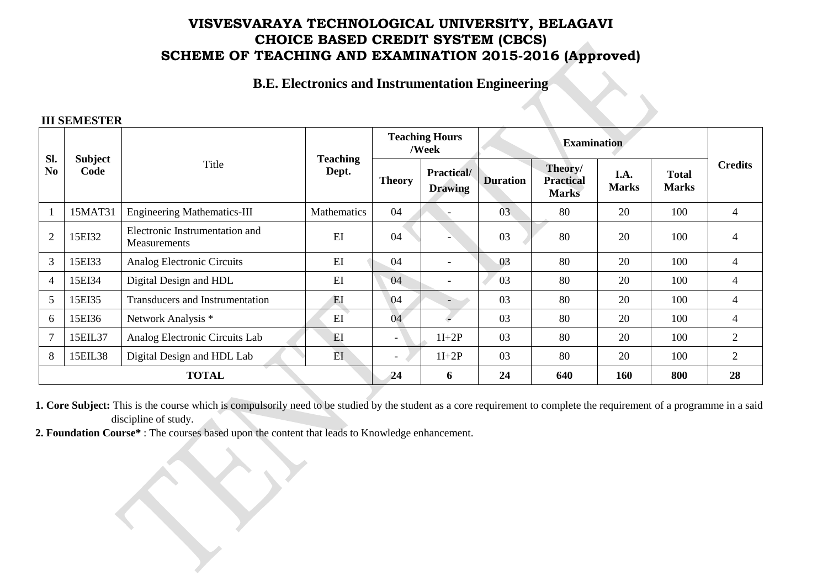# **VISVESVARAYA TECHNOLOGICAL UNIVERSITY, BELAGAVI CHOICE BASED CREDIT SYSTEM (CBCS) SCHEME OF TEACHING AND EXAMINATION 2015-2016 (Approved)**

**B.E. Electronics and Instrumentation Engineering**

#### **III SEMESTER**

| SI.<br>N <sub>0</sub>   | Subject<br>Code | Title                                          | <b>Teaching</b><br>Dept. | <b>Teaching Hours</b><br>/Week |                                     | <b>Examination</b> |                                             |                      |                              |                |
|-------------------------|-----------------|------------------------------------------------|--------------------------|--------------------------------|-------------------------------------|--------------------|---------------------------------------------|----------------------|------------------------------|----------------|
|                         |                 |                                                |                          | <b>Theory</b>                  | <b>Practical/</b><br><b>Drawing</b> | <b>Duration</b>    | Theory/<br><b>Practical</b><br><b>Marks</b> | I.A.<br><b>Marks</b> | <b>Total</b><br><b>Marks</b> | <b>Credits</b> |
| $\overline{\mathbf{1}}$ | 15MAT31         | <b>Engineering Mathematics-III</b>             | Mathematics              | 04                             |                                     | 03                 | 80                                          | 20                   | 100                          | $\overline{4}$ |
| $\overline{2}$          | 15EI32          | Electronic Instrumentation and<br>Measurements | EI                       | 04                             |                                     | 03                 | 80                                          | 20                   | 100                          | 4              |
| 3                       | 15EI33          | Analog Electronic Circuits                     | EI                       | 04                             | $\blacksquare$                      | 03                 | 80                                          | 20                   | 100                          | 4              |
| $\overline{4}$          | 15EI34          | Digital Design and HDL                         | EI                       | 04                             | $\overline{\phantom{a}}$            | 03                 | 80                                          | 20                   | 100                          | $\overline{4}$ |
| 5                       | 15EI35          | <b>Transducers and Instrumentation</b>         | EI                       | 04                             | $\overline{\phantom{0}}$            | 03                 | 80                                          | 20                   | 100                          | 4              |
| 6                       | 15EI36          | Network Analysis *                             | EI                       | 04                             |                                     | 03                 | 80                                          | 20                   | 100                          | 4              |
| $\overline{7}$          | 15EIL37         | Analog Electronic Circuits Lab                 | EI                       | $\overline{\phantom{0}}$       | $1I+2P$                             | 03                 | 80                                          | 20                   | 100                          | 2              |
| 8                       | 15EIL38         | Digital Design and HDL Lab                     | EI                       | $\overline{\phantom{0}}$       | $1I+2P$                             | 03                 | 80                                          | 20                   | 100                          | $\overline{2}$ |
| <b>TOTAL</b>            |                 |                                                |                          | 24                             | 6                                   | 24                 | 640                                         | 160                  | 800                          | 28             |

**1. Core Subject:** This is the course which is compulsorily need to be studied by the student as a core requirement to complete the requirement of a programme in a said discipline of study.

**2. Foundation Course\*** : The courses based upon the content that leads to Knowledge enhancement.